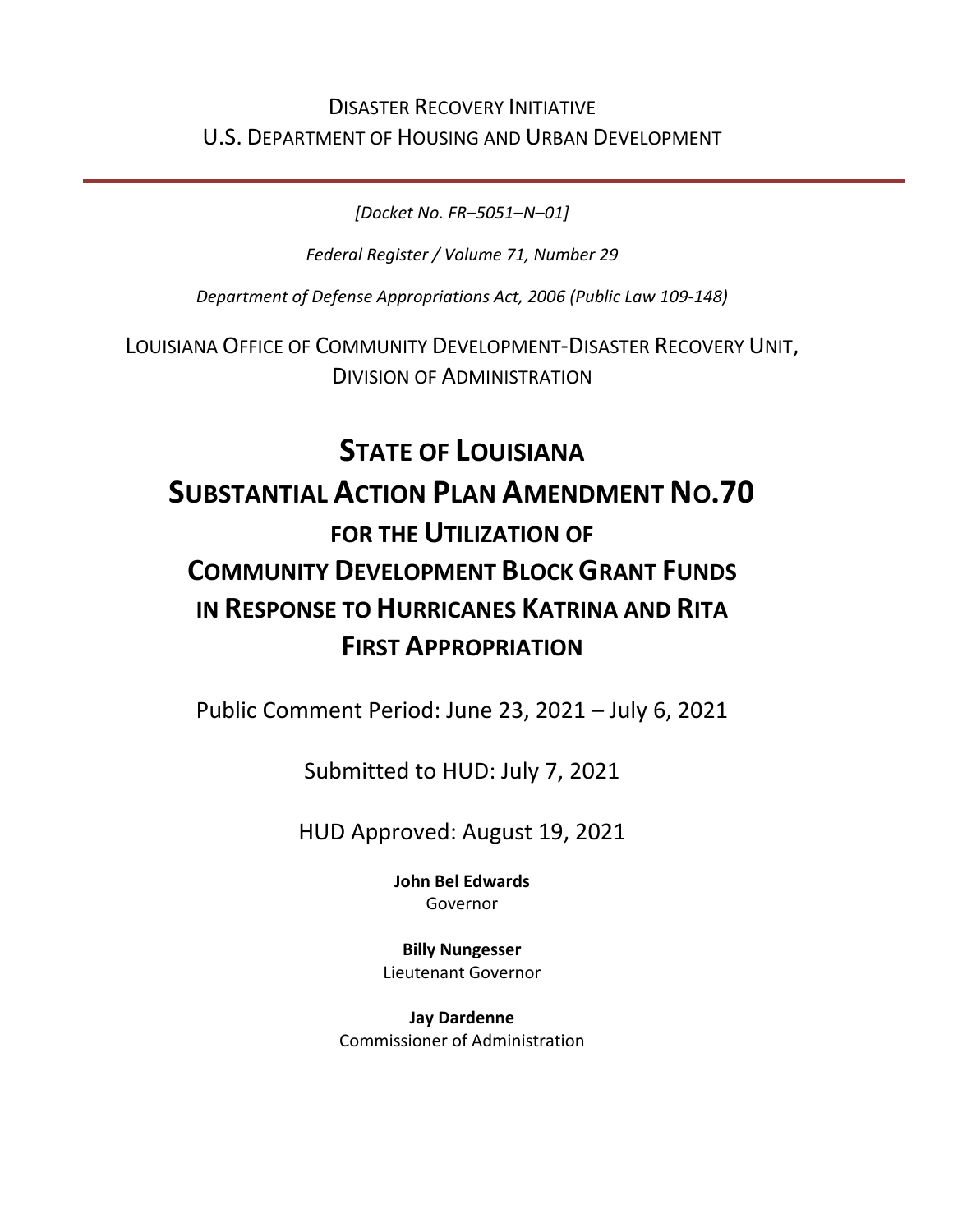# DISASTER RECOVERY INITIATIVE U.S. DEPARTMENT OF HOUSING AND URBAN DEVELOPMENT

*[Docket No. FR–5051–N–01]*

*Federal Register / Volume 71, Number 29*

*Department of Defense Appropriations Act, 2006 (Public Law 109-148)*

LOUISIANA OFFICE OF COMMUNITY DEVELOPMENT-DISASTER RECOVERY UNIT, DIVISION OF ADMINISTRATION

# **STATE OF LOUISIANA SUBSTANTIAL ACTION PLAN AMENDMENT NO.70 FOR THE UTILIZATION OF COMMUNITY DEVELOPMENT BLOCK GRANT FUNDS IN RESPONSE TO HURRICANES KATRINA AND RITA FIRST APPROPRIATION**

Public Comment Period: June 23, 2021 – July 6, 2021

Submitted to HUD: July 7, 2021

HUD Approved: August 19, 2021

**[John Bel Edwards](https://www.facebook.com/LouisianaGov/)** Governor

**Billy Nungesser** Lieutenant Governor

**Jay Dardenne** Commissioner of Administration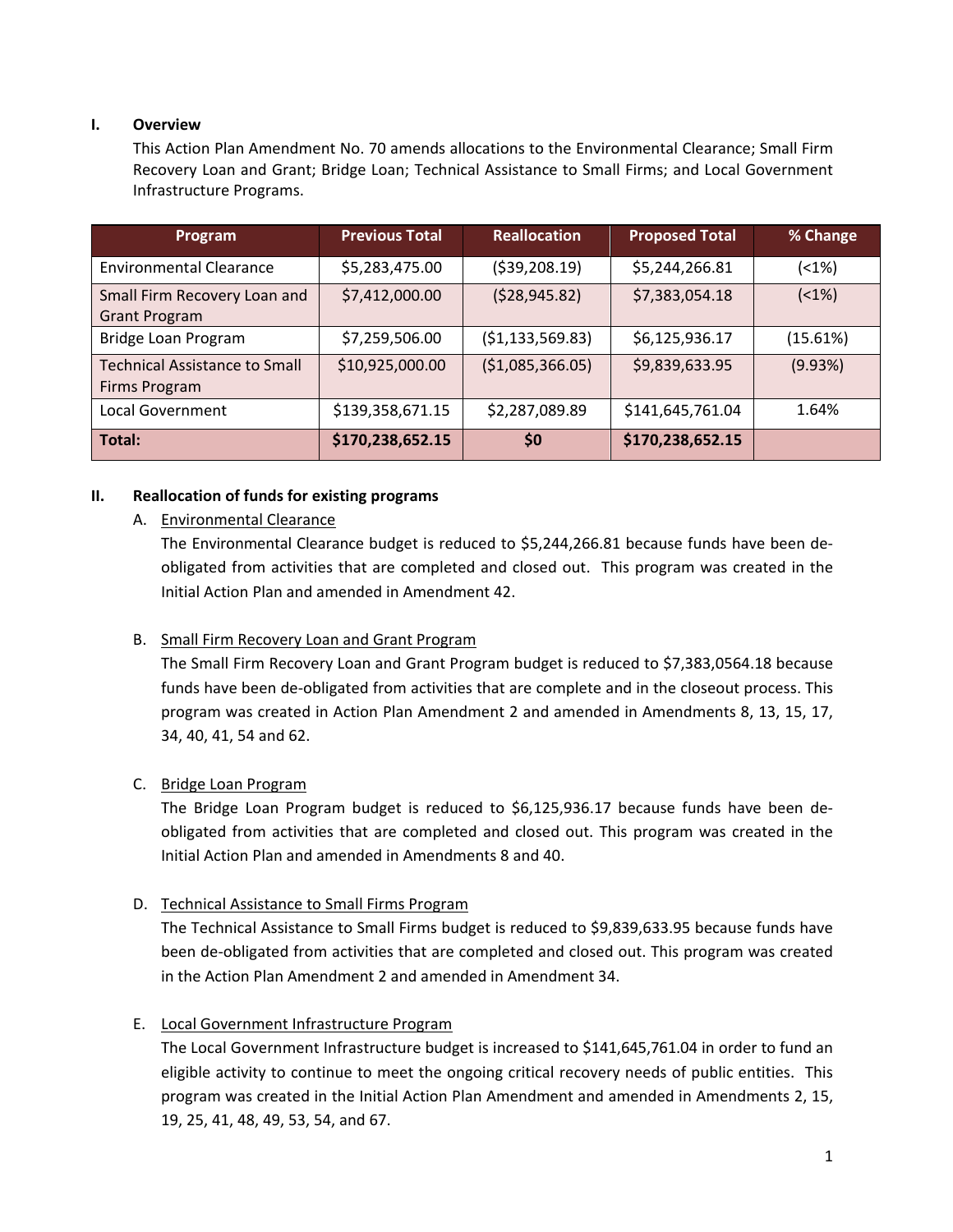#### **I. Overview**

This Action Plan Amendment No. 70 amends allocations to the Environmental Clearance; Small Firm Recovery Loan and Grant; Bridge Loan; Technical Assistance to Small Firms; and Local Government Infrastructure Programs.

| Program                                               | <b>Previous Total</b> | <b>Reallocation</b> | <b>Proposed Total</b> | % Change   |
|-------------------------------------------------------|-----------------------|---------------------|-----------------------|------------|
| <b>Environmental Clearance</b>                        | \$5,283,475.00        | ( \$39, 208.19)     | \$5,244,266.81        | $(1\%)$    |
| Small Firm Recovery Loan and<br><b>Grant Program</b>  | \$7,412,000.00        | (528, 945.82)       | \$7,383,054.18        | $( < 1\%)$ |
| Bridge Loan Program                                   | \$7,259,506.00        | (51, 133, 569.83)   | \$6,125,936.17        | (15.61%)   |
| <b>Technical Assistance to Small</b><br>Firms Program | \$10,925,000.00       | (51,085,366.05)     | \$9,839,633.95        | (9.93%)    |
| Local Government                                      | \$139,358,671.15      | \$2,287,089.89      | \$141,645,761.04      | 1.64%      |
| Total:                                                | \$170,238,652.15      | \$0                 | \$170,238,652.15      |            |

#### **II. Reallocation of funds for existing programs**

#### A. Environmental Clearance

The Environmental Clearance budget is reduced to \$5,244,266.81 because funds have been deobligated from activities that are completed and closed out. This program was created in the Initial Action Plan and amended in Amendment 42.

# B. Small Firm Recovery Loan and Grant Program

The Small Firm Recovery Loan and Grant Program budget is reduced to \$7,383,0564.18 because funds have been de-obligated from activities that are complete and in the closeout process. This program was created in Action Plan Amendment 2 and amended in Amendments 8, 13, 15, 17, 34, 40, 41, 54 and 62.

#### C. Bridge Loan Program

The Bridge Loan Program budget is reduced to \$6,125,936.17 because funds have been deobligated from activities that are completed and closed out. This program was created in the Initial Action Plan and amended in Amendments 8 and 40.

#### D. Technical Assistance to Small Firms Program

The Technical Assistance to Small Firms budget is reduced to \$9,839,633.95 because funds have been de-obligated from activities that are completed and closed out. This program was created in the Action Plan Amendment 2 and amended in Amendment 34.

# E. Local Government Infrastructure Program

The Local Government Infrastructure budget is increased to \$141,645,761.04 in order to fund an eligible activity to continue to meet the ongoing critical recovery needs of public entities. This program was created in the Initial Action Plan Amendment and amended in Amendments 2, 15, 19, 25, 41, 48, 49, 53, 54, and 67.